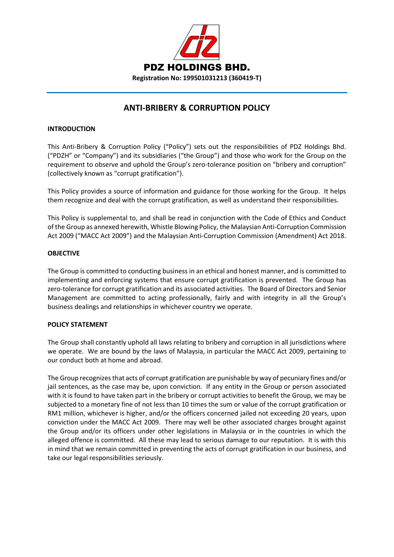

# **ANTI-BRIBERY & CORRUPTION POLICY**

# **INTRODUCTION**

This Anti-Bribery & Corruption Policy ("Policy") sets out the responsibilities of PDZ Holdings Bhd. ("PDZH" or "Company") and its subsidiaries ("the Group") and those who work for the Group on the requirement to observe and uphold the Group's zero-tolerance position on "bribery and corruption" (collectively known as "corrupt gratification").

This Policy provides a source of information and guidance for those working for the Group. It helps them recognize and deal with the corrupt gratification, as well as understand their responsibilities.

This Policy is supplemental to, and shall be read in conjunction with the Code of Ethics and Conduct of the Group as annexed herewith, Whistle Blowing Policy, the Malaysian Anti-Corruption Commission Act 2009 ("MACC Act 2009") and the Malaysian Anti-Corruption Commission (Amendment) Act 2018.

# **OBJECTIVE**

The Group is committed to conducting business in an ethical and honest manner, and is committed to implementing and enforcing systems that ensure corrupt gratification is prevented. The Group has zero-tolerance for corrupt gratification and its associated activities. The Board of Directors and Senior Management are committed to acting professionally, fairly and with integrity in all the Group's business dealings and relationships in whichever country we operate.

# **POLICY STATEMENT**

The Group shall constantly uphold all laws relating to bribery and corruption in all jurisdictions where we operate. We are bound by the laws of Malaysia, in particular the MACC Act 2009, pertaining to our conduct both at home and abroad.

The Group recognizes that acts of corrupt gratification are punishable by way of pecuniary fines and/or jail sentences, as the case may be, upon conviction. If any entity in the Group or person associated with it is found to have taken part in the bribery or corrupt activities to benefit the Group, we may be subjected to a monetary fine of not less than 10 times the sum or value of the corrupt gratification or RM1 million, whichever is higher, and/or the officers concerned jailed not exceeding 20 years, upon conviction under the MACC Act 2009. There may well be other associated charges brought against the Group and/or its officers under other legislations in Malaysia or in the countries in which the alleged offence is committed. All these may lead to serious damage to our reputation. It is with this in mind that we remain committed in preventing the acts of corrupt gratification in our business, and take our legal responsibilities seriously.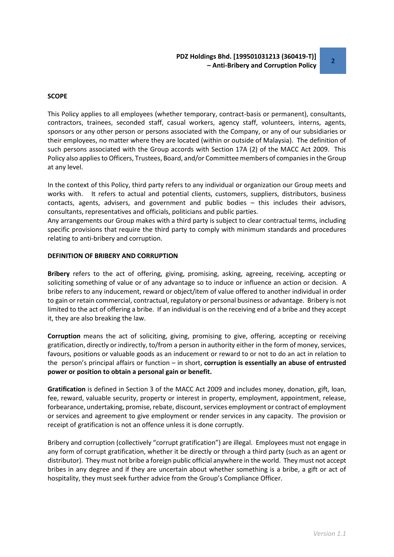## **SCOPE**

This Policy applies to all employees (whether temporary, contract-basis or permanent), consultants, contractors, trainees, seconded staff, casual workers, agency staff, volunteers, interns, agents, sponsors or any other person or persons associated with the Company, or any of our subsidiaries or their employees, no matter where they are located (within or outside of Malaysia). The definition of such persons associated with the Group accords with Section 17A (2) of the MACC Act 2009. This Policy also applies to Officers, Trustees, Board, and/or Committee members of companies in the Group at any level.

In the context of this Policy, third party refers to any individual or organization our Group meets and works with. It refers to actual and potential clients, customers, suppliers, distributors, business contacts, agents, advisers, and government and public bodies – this includes their advisors, consultants, representatives and officials, politicians and public parties.

Any arrangements our Group makes with a third party is subject to clear contractual terms, including specific provisions that require the third party to comply with minimum standards and procedures relating to anti-bribery and corruption.

## **DEFINITION OF BRIBERY AND CORRUPTION**

**Bribery** refers to the act of offering, giving, promising, asking, agreeing, receiving, accepting or soliciting something of value or of any advantage so to induce or influence an action or decision. A bribe refers to any inducement, reward or object/item of value offered to another individual in order to gain or retain commercial, contractual, regulatory or personal business or advantage. Bribery is not limited to the act of offering a bribe. If an individual is on the receiving end of a bribe and they accept it, they are also breaking the law.

**Corruption** means the act of soliciting, giving, promising to give, offering, accepting or receiving gratification, directly or indirectly, to/from a person in authority either in the form of money, services, favours, positions or valuable goods as an inducement or reward to or not to do an act in relation to the person's principal affairs or function – in short, **corruption is essentially an abuse of entrusted power or position to obtain a personal gain or benefit.**

**Gratification** is defined in Section 3 of the MACC Act 2009 and includes money, donation, gift, loan, fee, reward, valuable security, property or interest in property, employment, appointment, release, forbearance, undertaking, promise, rebate, discount, services employment or contract of employment or services and agreement to give employment or render services in any capacity. The provision or receipt of gratification is not an offence unless it is done corruptly.

Bribery and corruption (collectively "corrupt gratification") are illegal. Employees must not engage in any form of corrupt gratification, whether it be directly or through a third party (such as an agent or distributor). They must not bribe a foreign public official anywhere in the world. They must not accept bribes in any degree and if they are uncertain about whether something is a bribe, a gift or act of hospitality, they must seek further advice from the Group's Compliance Officer.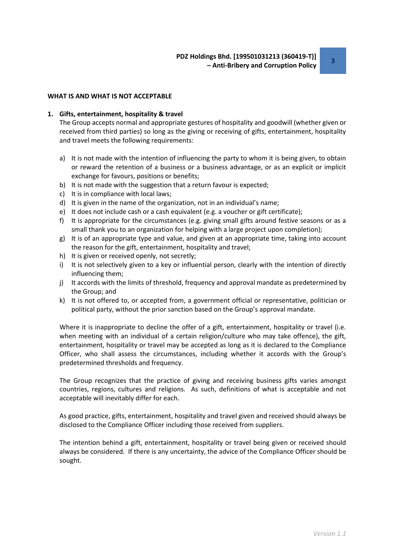#### **WHAT IS AND WHAT IS NOT ACCEPTABLE**

#### **1. Gifts, entertainment, hospitality & travel**

The Group accepts normal and appropriate gestures of hospitality and goodwill (whether given or received from third parties) so long as the giving or receiving of gifts, entertainment, hospitality and travel meets the following requirements:

- a) It is not made with the intention of influencing the party to whom it is being given, to obtain or reward the retention of a business or a business advantage, or as an explicit or implicit exchange for favours, positions or benefits;
- b) It is not made with the suggestion that a return favour is expected;
- c) It is in compliance with local laws;
- d) It is given in the name of the organization, not in an individual's name;
- e) It does not include cash or a cash equivalent (e.g. a voucher or gift certificate);
- f) It is appropriate for the circumstances (e.g. giving small gifts around festive seasons or as a small thank you to an organization for helping with a large project upon completion);
- g) It is of an appropriate type and value, and given at an appropriate time, taking into account the reason for the gift, entertainment, hospitality and travel;
- h) It is given or received openly, not secretly;
- i) It is not selectively given to a key or influential person, clearly with the intention of directly influencing them;
- j) It accords with the limits of threshold, frequency and approval mandate as predetermined by the Group; and
- k) It is not offered to, or accepted from, a government official or representative, politician or political party, without the prior sanction based on the Group's approval mandate.

Where it is inappropriate to decline the offer of a gift, entertainment, hospitality or travel (i.e. when meeting with an individual of a certain religion/culture who may take offence), the gift, entertainment, hospitality or travel may be accepted as long as it is declared to the Compliance Officer, who shall assess the circumstances, including whether it accords with the Group's predetermined thresholds and frequency.

The Group recognizes that the practice of giving and receiving business gifts varies amongst countries, regions, cultures and religions. As such, definitions of what is acceptable and not acceptable will inevitably differ for each.

As good practice, gifts, entertainment, hospitality and travel given and received should always be disclosed to the Compliance Officer including those received from suppliers.

The intention behind a gift, entertainment, hospitality or travel being given or received should always be considered. If there is any uncertainty, the advice of the Compliance Officer should be sought.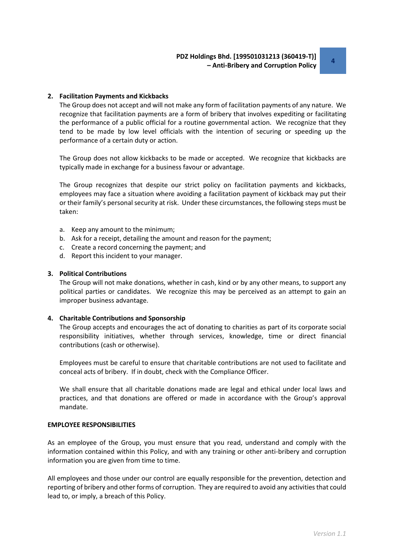## **2. Facilitation Payments and Kickbacks**

The Group does not accept and will not make any form of facilitation payments of any nature. We recognize that facilitation payments are a form of bribery that involves expediting or facilitating the performance of a public official for a routine governmental action. We recognize that they tend to be made by low level officials with the intention of securing or speeding up the performance of a certain duty or action.

The Group does not allow kickbacks to be made or accepted. We recognize that kickbacks are typically made in exchange for a business favour or advantage.

The Group recognizes that despite our strict policy on facilitation payments and kickbacks, employees may face a situation where avoiding a facilitation payment of kickback may put their or their family's personal security at risk. Under these circumstances, the following steps must be taken:

- a. Keep any amount to the minimum;
- b. Ask for a receipt, detailing the amount and reason for the payment;
- c. Create a record concerning the payment; and
- d. Report this incident to your manager.

## **3. Political Contributions**

The Group will not make donations, whether in cash, kind or by any other means, to support any political parties or candidates. We recognize this may be perceived as an attempt to gain an improper business advantage.

#### **4. Charitable Contributions and Sponsorship**

The Group accepts and encourages the act of donating to charities as part of its corporate social responsibility initiatives, whether through services, knowledge, time or direct financial contributions (cash or otherwise).

Employees must be careful to ensure that charitable contributions are not used to facilitate and conceal acts of bribery. If in doubt, check with the Compliance Officer.

We shall ensure that all charitable donations made are legal and ethical under local laws and practices, and that donations are offered or made in accordance with the Group's approval mandate.

#### **EMPLOYEE RESPONSIBILITIES**

As an employee of the Group, you must ensure that you read, understand and comply with the information contained within this Policy, and with any training or other anti-bribery and corruption information you are given from time to time.

All employees and those under our control are equally responsible for the prevention, detection and reporting of bribery and other forms of corruption. They are required to avoid any activities that could lead to, or imply, a breach of this Policy.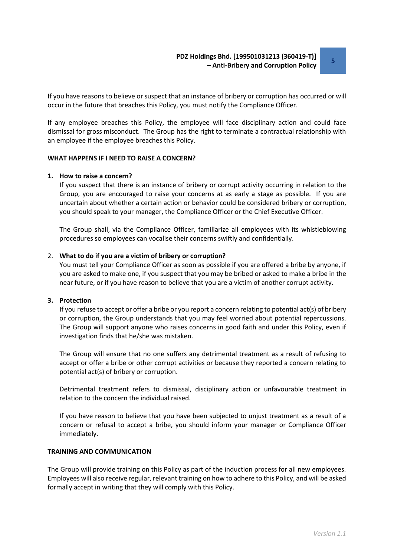If you have reasons to believe or suspect that an instance of bribery or corruption has occurred or will occur in the future that breaches this Policy, you must notify the Compliance Officer.

If any employee breaches this Policy, the employee will face disciplinary action and could face dismissal for gross misconduct. The Group has the right to terminate a contractual relationship with an employee if the employee breaches this Policy.

#### **WHAT HAPPENS IF I NEED TO RAISE A CONCERN?**

#### **1. How to raise a concern?**

If you suspect that there is an instance of bribery or corrupt activity occurring in relation to the Group, you are encouraged to raise your concerns at as early a stage as possible. If you are uncertain about whether a certain action or behavior could be considered bribery or corruption, you should speak to your manager, the Compliance Officer or the Chief Executive Officer.

The Group shall, via the Compliance Officer, familiarize all employees with its whistleblowing procedures so employees can vocalise their concerns swiftly and confidentially.

#### 2. **What to do if you are a victim of bribery or corruption?**

You must tell your Compliance Officer as soon as possible if you are offered a bribe by anyone, if you are asked to make one, if you suspect that you may be bribed or asked to make a bribe in the near future, or if you have reason to believe that you are a victim of another corrupt activity.

# **3. Protection**

If you refuse to accept or offer a bribe or you report a concern relating to potential act(s) of bribery or corruption, the Group understands that you may feel worried about potential repercussions. The Group will support anyone who raises concerns in good faith and under this Policy, even if investigation finds that he/she was mistaken.

The Group will ensure that no one suffers any detrimental treatment as a result of refusing to accept or offer a bribe or other corrupt activities or because they reported a concern relating to potential act(s) of bribery or corruption.

Detrimental treatment refers to dismissal, disciplinary action or unfavourable treatment in relation to the concern the individual raised.

If you have reason to believe that you have been subjected to unjust treatment as a result of a concern or refusal to accept a bribe, you should inform your manager or Compliance Officer immediately.

#### **TRAINING AND COMMUNICATION**

The Group will provide training on this Policy as part of the induction process for all new employees. Employees will also receive regular, relevant training on how to adhere to this Policy, and will be asked formally accept in writing that they will comply with this Policy.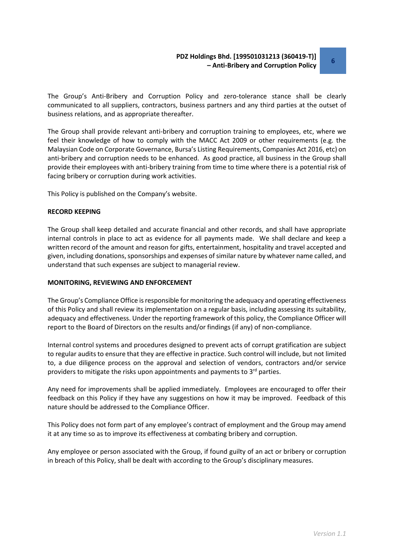The Group's Anti-Bribery and Corruption Policy and zero-tolerance stance shall be clearly communicated to all suppliers, contractors, business partners and any third parties at the outset of business relations, and as appropriate thereafter.

The Group shall provide relevant anti-bribery and corruption training to employees, etc, where we feel their knowledge of how to comply with the MACC Act 2009 or other requirements (e.g. the Malaysian Code on Corporate Governance, Bursa's Listing Requirements, Companies Act 2016, etc) on anti-bribery and corruption needs to be enhanced. As good practice, all business in the Group shall provide their employees with anti-bribery training from time to time where there is a potential risk of facing bribery or corruption during work activities.

This Policy is published on the Company's website.

#### **RECORD KEEPING**

The Group shall keep detailed and accurate financial and other records, and shall have appropriate internal controls in place to act as evidence for all payments made. We shall declare and keep a written record of the amount and reason for gifts, entertainment, hospitality and travel accepted and given, including donations, sponsorships and expenses of similar nature by whatever name called, and understand that such expenses are subject to managerial review.

#### **MONITORING, REVIEWING AND ENFORCEMENT**

The Group's Compliance Office is responsible for monitoring the adequacy and operating effectiveness of this Policy and shall review its implementation on a regular basis, including assessing its suitability, adequacy and effectiveness. Under the reporting framework of this policy, the Compliance Officer will report to the Board of Directors on the results and/or findings (if any) of non-compliance.

Internal control systems and procedures designed to prevent acts of corrupt gratification are subject to regular audits to ensure that they are effective in practice. Such control will include, but not limited to, a due diligence process on the approval and selection of vendors, contractors and/or service providers to mitigate the risks upon appointments and payments to  $3<sup>rd</sup>$  parties.

Any need for improvements shall be applied immediately. Employees are encouraged to offer their feedback on this Policy if they have any suggestions on how it may be improved. Feedback of this nature should be addressed to the Compliance Officer.

This Policy does not form part of any employee's contract of employment and the Group may amend it at any time so as to improve its effectiveness at combating bribery and corruption.

Any employee or person associated with the Group, if found guilty of an act or bribery or corruption in breach of this Policy, shall be dealt with according to the Group's disciplinary measures.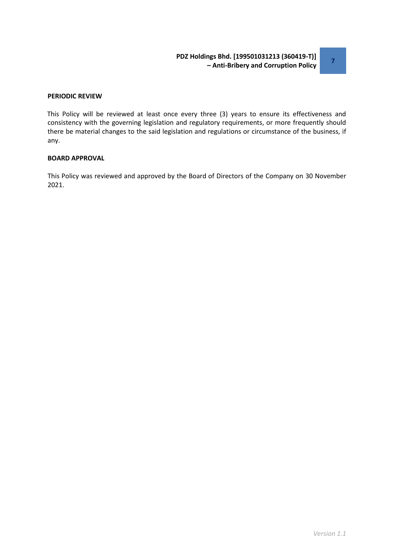## **PERIODIC REVIEW**

This Policy will be reviewed at least once every three (3) years to ensure its effectiveness and consistency with the governing legislation and regulatory requirements, or more frequently should there be material changes to the said legislation and regulations or circumstance of the business, if any.

## **BOARD APPROVAL**

This Policy was reviewed and approved by the Board of Directors of the Company on 30 November 2021.